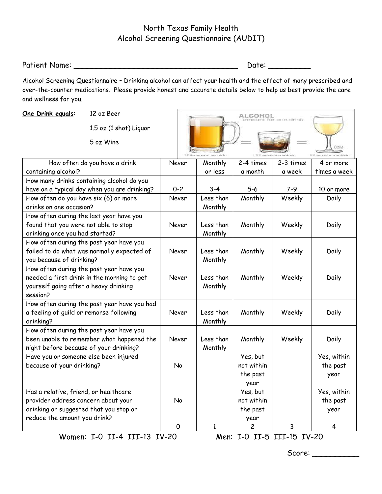## North Texas Family Health Alcohol Screening Questionnaire (AUDIT)

Patient Name: \_\_\_\_\_\_\_\_\_\_\_\_\_\_\_\_\_\_\_\_\_\_\_\_\_\_\_\_\_\_\_\_\_\_\_ Date: \_\_\_\_\_\_\_\_\_

 $\overline{\phantom{a}}$ 

Alcohol Screening Questionnaire – Drinking alcohol can affect your health and the effect of many prescribed and over-the-counter medications. Please provide honest and accurate details below to help us best provide the care and wellness for you.

 $\sim$ 

| One Drink equals:                                                                                                                          | 12 oz Beer<br>1.5 oz (1 shot) Liquor<br>5 oz Wine |         |                      | соноі                                      |           |                                 |
|--------------------------------------------------------------------------------------------------------------------------------------------|---------------------------------------------------|---------|----------------------|--------------------------------------------|-----------|---------------------------------|
|                                                                                                                                            | How often do you have a drink                     | Never   | Monthly              | 2-4 times                                  | 2-3 times | 4 or more                       |
| containing alcohol?                                                                                                                        |                                                   |         | or less              | a month                                    | a week    | times a week                    |
| How many drinks containing alcohol do you                                                                                                  |                                                   |         |                      |                                            |           |                                 |
| have on a typical day when you are drinking?                                                                                               |                                                   | $0 - 2$ | $3 - 4$              | $5 - 6$                                    | $7-9$     | 10 or more                      |
| How often do you have six (6) or more                                                                                                      |                                                   | Never   | Less than            | Monthly                                    | Weekly    | Daily                           |
| drinks on one occasion?                                                                                                                    |                                                   |         | Monthly              |                                            |           |                                 |
| How often during the last year have you<br>found that you were not able to stop<br>drinking once you had started?                          |                                                   | Never   | Less than<br>Monthly | Monthly                                    | Weekly    | Daily                           |
| How often during the past year have you<br>failed to do what was normally expected of<br>you because of drinking?                          |                                                   | Never   | Less than<br>Monthly | Monthly                                    | Weekly    | Daily                           |
| How often during the past year have you<br>needed a first drink in the morning to get<br>yourself going after a heavy drinking<br>session? |                                                   | Never   | Less than<br>Monthly | Monthly                                    | Weekly    | Daily                           |
| How often during the past year have you had<br>a feeling of guild or remorse following<br>drinking?                                        |                                                   | Never   | Less than<br>Monthly | Monthly                                    | Weekly    | Daily                           |
| How often during the past year have you<br>been unable to remember what happened the<br>night before because of your drinking?             |                                                   | Never   | Less than<br>Monthly | Monthly                                    | Weekly    | Daily                           |
| Have you or someone else been injured<br>because of your drinking?                                                                         |                                                   | No      |                      | Yes, but<br>not within<br>the past<br>year |           | Yes, within<br>the past<br>year |
| Has a relative, friend, or healthcare                                                                                                      |                                                   |         |                      | Yes, but                                   |           | Yes, within                     |
| provider address concern about your                                                                                                        |                                                   | No      |                      | not within                                 |           | the past                        |
| drinking or suggested that you stop or                                                                                                     |                                                   |         |                      | the past                                   |           | year                            |
| reduce the amount you drink?                                                                                                               |                                                   |         |                      | year                                       |           |                                 |
|                                                                                                                                            |                                                   | 0       | 1                    | 2                                          | 3         | 4                               |
|                                                                                                                                            | Women: I-O II-4 III-13 IV-20                      |         |                      | Men: I-0 II-5 III-15 IV-20                 |           |                                 |

Score: \_\_\_\_\_\_\_\_\_\_\_\_